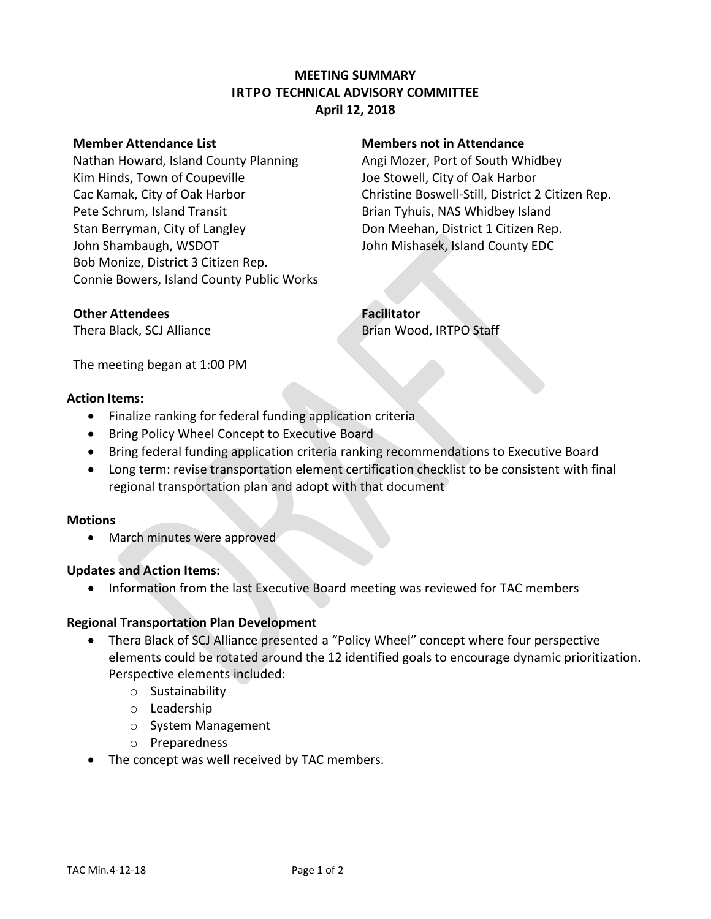# **MEETING SUMMARY IRTPO TECHNICAL ADVISORY COMMITTEE April 12, 2018**

Nathan Howard, Island County Planning Angi Mozer, Port of South Whidbey Kim Hinds, Town of Coupeville The Stowell, City of Oak Harbor Pete Schrum, Island Transit **Brian Harton Brian Tyhuis, NAS Whidbey Island** Stan Berryman, City of Langley **Don Meehan, District 1 Citizen Rep.** John Shambaugh, WSDOT The State of John Mishasek, Island County EDC Bob Monize, District 3 Citizen Rep. Connie Bowers, Island County Public Works

## **Member Attendance List Members not in Attendance**

Cac Kamak, City of Oak Harbor Christine Boswell-Still, District 2 Citizen Rep.

## **Other Attendees Facilitator**

Thera Black, SCJ Alliance **Brian Wood, IRTPO Staff** 

The meeting began at 1:00 PM

### **Action Items:**

- Finalize ranking for federal funding application criteria
- **Bring Policy Wheel Concept to Executive Board**
- Bring federal funding application criteria ranking recommendations to Executive Board
- Long term: revise transportation element certification checklist to be consistent with final regional transportation plan and adopt with that document

### **Motions**

• March minutes were approved

## **Updates and Action Items:**

• Information from the last Executive Board meeting was reviewed for TAC members

## **Regional Transportation Plan Development**

- Thera Black of SCJ Alliance presented a "Policy Wheel" concept where four perspective elements could be rotated around the 12 identified goals to encourage dynamic prioritization. Perspective elements included:
	- o Sustainability
	- o Leadership
	- o System Management
	- o Preparedness
- The concept was well received by TAC members.